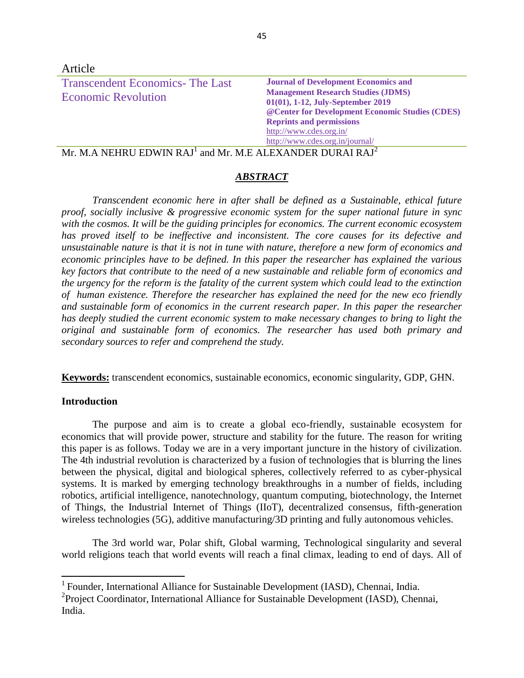| Article                                                              |                                                                                                                                                                                                                                                                                    |
|----------------------------------------------------------------------|------------------------------------------------------------------------------------------------------------------------------------------------------------------------------------------------------------------------------------------------------------------------------------|
| <b>Transcendent Economics-The Last</b><br><b>Economic Revolution</b> | <b>Journal of Development Economics and</b><br><b>Management Research Studies (JDMS)</b><br>01(01), 1-12, July-September 2019<br>@ Center for Development Economic Studies (CDES)<br><b>Reprints and permissions</b><br>http://www.cdes.org.in/<br>http://www.cdes.org.in/journal/ |

 $\rm{Mr.~M.A~NEHRU~EDWIN~RAJ}^{1}$  and  $\rm{Mr.~M.E~ALEXANDER~DURAI~RAJ}^{2}$ 

# *ABSTRACT*

*Transcendent economic here in after shall be defined as a Sustainable, ethical future proof, socially inclusive & progressive economic system for the super national future in sync with the cosmos. It will be the guiding principles for economics. The current economic ecosystem has proved itself to be ineffective and inconsistent. The core causes for its defective and unsustainable nature is that it is not in tune with nature, therefore a new form of economics and economic principles have to be defined. In this paper the researcher has explained the various key factors that contribute to the need of a new sustainable and reliable form of economics and the urgency for the reform is the fatality of the current system which could lead to the extinction of human existence. Therefore the researcher has explained the need for the new eco friendly and sustainable form of economics in the current research paper. In this paper the researcher has deeply studied the current economic system to make necessary changes to bring to light the original and sustainable form of economics. The researcher has used both primary and secondary sources to refer and comprehend the study.*

**Keywords:** transcendent economics, sustainable economics, economic singularity, GDP, GHN.

## **Introduction**

 $\overline{\phantom{a}}$ 

The purpose and aim is to create a global eco-friendly, sustainable ecosystem for economics that will provide power, structure and stability for the future. The reason for writing this paper is as follows. Today we are in a very important juncture in the history of civilization. The 4th industrial revolution is characterized by a fusion of technologies that is blurring the lines between the physical, digital and biological spheres, collectively referred to as cyber-physical systems. It is marked by emerging technology breakthroughs in a number of fields, including robotics, artificial intelligence, nanotechnology, quantum computing, biotechnology, the Internet of Things, the Industrial Internet of Things (IIoT), decentralized consensus, fifth-generation wireless technologies (5G), additive manufacturing/3D printing and fully autonomous vehicles.

The 3rd world war, Polar shift, Global warming, Technological singularity and several world religions teach that world events will reach a final climax, leading to end of days. All of

<sup>&</sup>lt;sup>1</sup> Founder, International Alliance for Sustainable Development (IASD), Chennai, India.

<sup>&</sup>lt;sup>2</sup> Project Coordinator, International Alliance for Sustainable Development (IASD), Chennai, India.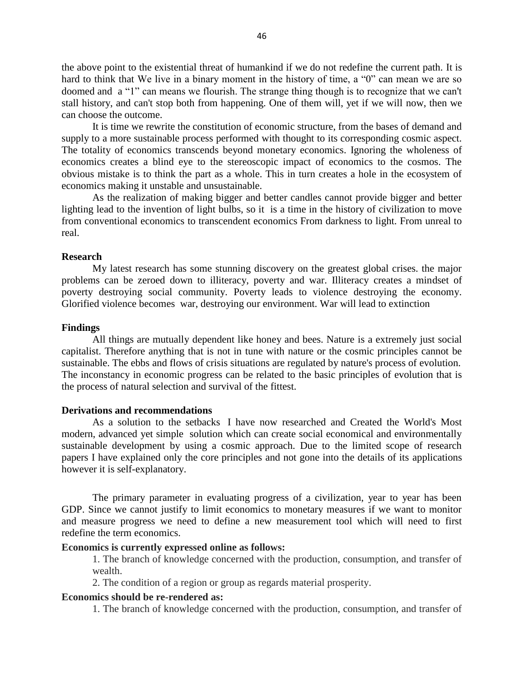the above point to the existential threat of humankind if we do not redefine the current path. It is hard to think that We live in a binary moment in the history of time, a "0" can mean we are so doomed and a "1" can means we flourish. The strange thing though is to recognize that we can't stall history, and can't stop both from happening. One of them will, yet if we will now, then we can choose the outcome.

It is time we rewrite the constitution of economic structure, from the bases of demand and supply to a more sustainable process performed with thought to its corresponding cosmic aspect. The totality of economics transcends beyond monetary economics. Ignoring the wholeness of economics creates a blind eye to the stereoscopic impact of economics to the cosmos. The obvious mistake is to think the part as a whole. This in turn creates a hole in the ecosystem of economics making it unstable and unsustainable.

As the realization of making bigger and better candles cannot provide bigger and better lighting lead to the invention of light bulbs, so it is a time in the history of civilization to move from conventional economics to transcendent economics From darkness to light. From unreal to real.

### **Research**

My latest research has some stunning discovery on the greatest global crises. the major problems can be zeroed down to illiteracy, poverty and war. Illiteracy creates a mindset of poverty destroying social community. Poverty leads to violence destroying the economy. Glorified violence becomes war, destroying our environment. War will lead to extinction

#### **Findings**

All things are mutually dependent like honey and bees. Nature is a extremely just social capitalist. Therefore anything that is not in tune with nature or the cosmic principles cannot be sustainable. The ebbs and flows of crisis situations are regulated by nature's process of evolution. The inconstancy in economic progress can be related to the basic principles of evolution that is the process of natural selection and survival of the fittest.

### **Derivations and recommendations**

As a solution to the setbacks I have now researched and Created the World's Most modern, advanced yet simple solution which can create social economical and environmentally sustainable development by using a cosmic approach. Due to the limited scope of research papers I have explained only the core principles and not gone into the details of its applications however it is self-explanatory.

The primary parameter in evaluating progress of a civilization, year to year has been GDP. Since we cannot justify to limit economics to monetary measures if we want to monitor and measure progress we need to define a new measurement tool which will need to first redefine the term economics.

## **Economics is currently expressed online as follows:**

1. The branch of knowledge concerned with the production, consumption, and transfer of wealth.

2. The condition of a region or group as regards material prosperity.

# **Economics should be re-rendered as:**

1. The branch of knowledge concerned with the production, consumption, and transfer of